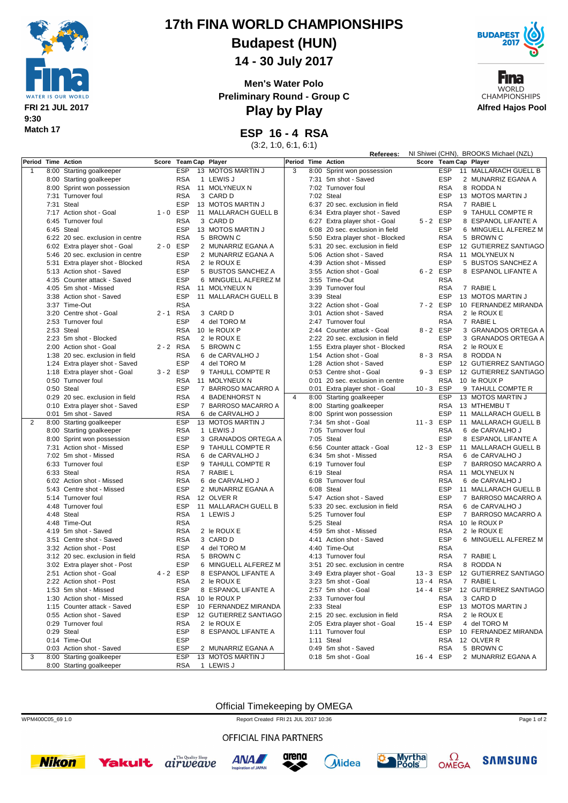

# **17th FINA WORLD CHAMPIONSHIPS**

**Budapest (HUN)**

**14 - 30 July 2017**

**Men's Water Polo Preliminary Round - Group C**



Fına **WORLD CHAMPIONSHIPS Alfred Hajos Pool**

**Referees:** NI Shiwei (CHN), BROOKS Michael (NZL)

**Play by Play**

**ESP 16 - 4 RSA**

(3:2, 1:0, 6:1, 6:1)

| Period Time Action |                                  | Score       | Team Cap Player |                       | Period         |      | <b>Time Action</b>               | Score       |            | <b>Team Cap Player</b> |
|--------------------|----------------------------------|-------------|-----------------|-----------------------|----------------|------|----------------------------------|-------------|------------|------------------------|
| $\mathbf{1}$       | 8:00 Starting goalkeeper         |             | <b>ESP</b>      | 13 MOTOS MARTIN J     | 3              |      | 8:00 Sprint won possession       |             | <b>ESP</b> | 11 MALLARACH GUELL B   |
|                    | 8:00 Starting goalkeeper         |             | <b>RSA</b>      | 1 LEWIS J             |                |      | 7:31 5m shot - Saved             |             | <b>ESP</b> | 2 MUNARRIZ EGANA A     |
|                    | 8:00 Sprint won possession       |             | <b>RSA</b>      | 11 MOLYNEUX N         |                |      | 7:02 Turnover foul               |             | <b>RSA</b> | 8 RODDA N              |
|                    | 7:31 Turnover foul               |             | <b>RSA</b>      | 3 CARD D              |                |      | 7:02 Steal                       |             | <b>ESP</b> | 13 MOTOS MARTIN J      |
|                    | 7:31 Steal                       |             | <b>ESP</b>      | 13 MOTOS MARTIN J     |                |      | 6:37 20 sec. exclusion in field  |             | <b>RSA</b> | 7 RABIE L              |
|                    | 7:17 Action shot - Goal          | $1 - 0$ ESP |                 | 11 MALLARACH GUELL B  |                |      | 6:34 Extra player shot - Saved   |             | <b>ESP</b> | 9 TAHULL COMPTE R      |
|                    | 6:45 Turnover foul               |             | <b>RSA</b>      | 3 CARD D              |                |      | 6:27 Extra player shot - Goal    | 5-2 ESP     |            | 8 ESPANOL LIFANTE A    |
|                    | 6:45 Steal                       |             | <b>ESP</b>      | 13 MOTOS MARTIN J     |                |      | 6:08 20 sec. exclusion in field  |             | <b>ESP</b> | 6 MINGUELL ALFEREZ M   |
|                    | 6:22 20 sec. exclusion in centre |             | <b>RSA</b>      | 5 BROWN C             |                |      | 5:50 Extra player shot - Blocked |             | <b>RSA</b> | 5 BROWN C              |
|                    | 6:02 Extra player shot - Goal    | $2 - 0$ ESP |                 | 2 MUNARRIZ EGANA A    |                |      | 5:31 20 sec. exclusion in field  |             | <b>ESP</b> | 12 GUTIERREZ SANTIAGO  |
|                    | 5:46 20 sec. exclusion in centre |             | <b>ESP</b>      | 2 MUNARRIZ EGANA A    |                |      | 5:06 Action shot - Saved         |             | <b>RSA</b> | 11 MOLYNEUX N          |
|                    | 5:31 Extra player shot - Blocked |             | <b>RSA</b>      | 2 le ROUX E           |                |      | 4:39 Action shot - Missed        |             | <b>ESP</b> | 5 BUSTOS SANCHEZ A     |
|                    | 5:13 Action shot - Saved         |             | <b>ESP</b>      | 5 BUSTOS SANCHEZ A    |                |      | 3:55 Action shot - Goal          | 6-2 ESP     |            | 8 ESPANOL LIFANTE A    |
|                    | 4:35 Counter attack - Saved      |             | <b>ESP</b>      | 6 MINGUELL ALFEREZ M  |                |      | 3:55 Time-Out                    |             | <b>RSA</b> |                        |
|                    | 4:05 5m shot - Missed            |             | <b>RSA</b>      | 11 MOLYNEUX N         |                |      | 3:39 Turnover foul               |             | <b>RSA</b> | 7 RABIE L              |
|                    | 3:38 Action shot - Saved         |             | <b>ESP</b>      | 11 MALLARACH GUELL B  |                |      | 3:39 Steal                       |             | <b>ESP</b> | 13 MOTOS MARTIN J      |
|                    | 3:37 Time-Out                    |             | <b>RSA</b>      |                       |                |      | 3:22 Action shot - Goal          | 7-2 ESP     |            | 10 FERNANDEZ MIRANDA   |
|                    | 3:20 Centre shot - Goal          | 2 - 1 RSA   |                 | 3 CARD D              |                |      | 3:01 Action shot - Saved         |             | <b>RSA</b> | 2 le ROUX E            |
|                    | 2:53 Turnover foul               |             | <b>ESP</b>      | 4 del TORO M          |                |      | 2:47 Turnover foul               |             | <b>RSA</b> | 7 RABIE L              |
|                    | 2:53 Steal                       |             | <b>RSA</b>      | 10 le ROUX P          |                |      | 2:44 Counter attack - Goal       | 8-2 ESP     |            | 3 GRANADOS ORTEGA A    |
|                    | 2:23 5m shot - Blocked           |             | <b>RSA</b>      | 2 le ROUX E           |                |      | 2:22 20 sec. exclusion in field  |             | <b>ESP</b> | 3 GRANADOS ORTEGA A    |
|                    | 2:00 Action shot - Goal          | 2-2 RSA     |                 | 5 BROWN C             |                |      | 1:55 Extra player shot - Blocked |             | <b>RSA</b> | 2 le ROUX E            |
|                    | 1:38 20 sec. exclusion in field  |             | <b>RSA</b>      | 6 de CARVALHO J       |                |      | 1:54 Action shot - Goal          | 8-3 RSA     |            | 8 RODDA N              |
|                    | 1:24 Extra player shot - Saved   |             | <b>ESP</b>      | 4 del TORO M          |                |      | 1:28 Action shot - Saved         |             | <b>ESP</b> | 12 GUTIERREZ SANTIAGO  |
|                    | 1:18 Extra player shot - Goal    | 3-2 ESP     |                 | 9 TAHULL COMPTE R     |                |      | 0:53 Centre shot - Goal          | $9 - 3$ ESP |            | 12 GUTIERREZ SANTIAGO  |
|                    | 0:50 Turnover foul               |             | <b>RSA</b>      | 11 MOLYNEUX N         |                |      | 0:01 20 sec. exclusion in centre |             | <b>RSA</b> | 10 le ROUX P           |
|                    | 0:50 Steal                       |             | <b>ESP</b>      | 7 BARROSO MACARRO A   |                |      | 0:01 Extra player shot - Goal    | 10-3 ESP    |            | 9 TAHULL COMPTE R      |
|                    | 0:29 20 sec. exclusion in field  |             | <b>RSA</b>      | 4 BADENHORST N        | $\overline{4}$ |      | 8:00 Starting goalkeeper         |             | <b>ESP</b> | 13 MOTOS MARTIN J      |
|                    | 0:10 Extra player shot - Saved   |             | <b>ESP</b>      | 7 BARROSO MACARRO A   |                |      | 8:00 Starting goalkeeper         |             | <b>RSA</b> | 13 MTHEMBU T           |
|                    | 0:01 5m shot - Saved             |             | <b>RSA</b>      | 6 de CARVALHO J       |                |      | 8:00 Sprint won possession       |             | <b>ESP</b> | 11 MALLARACH GUELL B   |
| 2                  | 8:00 Starting goalkeeper         |             | <b>ESP</b>      | 13 MOTOS MARTIN J     |                |      | 7:34 5m shot - Goal              | 11-3 ESP    |            | 11 MALLARACH GUELL B   |
|                    | 8:00 Starting goalkeeper         |             | <b>RSA</b>      | 1 LEWIS J             |                |      | 7:05 Turnover foul               |             | <b>RSA</b> | 6 de CARVALHO J        |
|                    | 8:00 Sprint won possession       |             | <b>ESP</b>      | 3 GRANADOS ORTEGA A   |                |      | 7:05 Steal                       |             | <b>ESP</b> | 8 ESPANOL LIFANTE A    |
|                    | 7:31 Action shot - Missed        |             | <b>ESP</b>      | 9 TAHULL COMPTE R     |                |      | 6:56 Counter attack - Goal       | 12-3 ESP    |            | 11 MALLARACH GUELL B   |
|                    | 7:02 5m shot - Missed            |             | <b>RSA</b>      | 6 de CARVALHO J       |                |      | 6:34 5m shot - Missed            |             | <b>RSA</b> | 6 de CARVALHO J        |
|                    | 6:33 Turnover foul               |             | <b>ESP</b>      | 9 TAHULL COMPTE R     |                |      | 6:19 Turnover foul               |             | <b>ESP</b> | 7 BARROSO MACARRO A    |
|                    | 6:33 Steal                       |             | <b>RSA</b>      | 7 RABIE L             |                |      | 6:19 Steal                       |             | <b>RSA</b> | 11 MOLYNEUX N          |
|                    | 6:02 Action shot - Missed        |             | <b>RSA</b>      | 6 de CARVALHO J       |                |      | 6:08 Turnover foul               |             | <b>RSA</b> | 6 de CARVALHO J        |
|                    | 5:43 Centre shot - Missed        |             | <b>ESP</b>      | 2 MUNARRIZ EGANA A    |                |      | 6:08 Steal                       |             | <b>ESP</b> | 11 MALLARACH GUELL B   |
|                    | 5:14 Turnover foul               |             | <b>RSA</b>      | 12 OLVER R            |                |      | 5:47 Action shot - Saved         |             | <b>ESP</b> | 7 BARROSO MACARRO A    |
|                    | 4:48 Turnover foul               |             | <b>ESP</b>      | 11 MALLARACH GUELL B  |                |      | 5:33 20 sec. exclusion in field  |             | <b>RSA</b> | 6 de CARVALHO J        |
|                    | 4:48 Steal                       |             | <b>RSA</b>      | 1 LEWIS J             |                |      | 5:25 Turnover foul               |             | <b>ESP</b> | 7 BARROSO MACARRO A    |
|                    | 4:48 Time-Out                    |             | <b>RSA</b>      |                       |                |      | 5:25 Steal                       |             | <b>RSA</b> | 10 le ROUX P           |
|                    | 4:19 5m shot - Saved             |             | <b>RSA</b>      | 2 le ROUX E           |                |      | 4:59 5m shot - Missed            |             | <b>RSA</b> | 2 le ROUX E            |
|                    | 3:51 Centre shot - Saved         |             | <b>RSA</b>      | 3 CARD D              |                | 4:41 | Action shot - Saved              |             | <b>ESP</b> | 6 MINGUELL ALFEREZ M   |
|                    | 3:32 Action shot - Post          |             | <b>ESP</b>      | 4 del TORO M          |                |      | 4:40 Time-Out                    |             | <b>RSA</b> |                        |
|                    | 3:12 20 sec. exclusion in field  |             | <b>RSA</b>      | 5 BROWN C             |                |      | 4:13 Turnover foul               |             | <b>RSA</b> | 7 RABIE L              |
|                    | 3:02 Extra player shot - Post    |             | <b>ESP</b>      | 6 MINGUELL ALFEREZ M  |                |      | 3:51 20 sec. exclusion in centre |             | <b>RSA</b> | 8 RODDA N              |
|                    | 2:51 Action shot - Goal          | 4-2 ESP     |                 | 8 ESPANOL LIFANTE A   |                |      | 3:49 Extra player shot - Goal    | 13-3 ESP    |            | 12 GUTIERREZ SANTIAGO  |
|                    | 2:22 Action shot - Post          |             | <b>RSA</b>      | 2 le ROUX E           |                |      | 3:23 5m shot - Goal              | $13 - 4$    | RSA        | 7 RABIE L              |
|                    | 1:53 5m shot - Missed            |             | ESP             | 8 ESPANOL LIFANTE A   |                |      | 2:57 5m shot - Goal              | 14 - 4 ESP  |            | 12 GUTIERREZ SANTIAGO  |
|                    | 1:30 Action shot - Missed        |             | <b>RSA</b>      | 10 le ROUX P          |                |      | 2:33 Turnover foul               |             | <b>RSA</b> | 3 CARD D               |
|                    | 1:15 Counter attack - Saved      |             | <b>ESP</b>      | 10 FERNANDEZ MIRANDA  |                |      | 2:33 Steal                       |             | <b>ESP</b> | 13 MOTOS MARTIN J      |
|                    | 0:55 Action shot - Saved         |             | <b>ESP</b>      | 12 GUTIERREZ SANTIAGO |                |      | 2:15 20 sec. exclusion in field  |             | <b>RSA</b> | 2 le ROUX E            |
|                    | 0:29 Turnover foul               |             | <b>RSA</b>      | 2 le ROUX E           |                |      | 2:05 Extra player shot - Goal    | 15-4 ESP    |            | 4 del TORO M           |
|                    | 0:29 Steal                       |             | <b>ESP</b>      | 8 ESPANOL LIFANTE A   |                |      | 1:11 Turnover foul               |             | ESP        | 10 FERNANDEZ MIRANDA   |
|                    | 0:14 Time-Out                    |             | <b>ESP</b>      |                       |                |      | 1:11 Steal                       |             |            | RSA 12 OLVER R         |
|                    | 0:03 Action shot - Saved         |             | <b>ESP</b>      | 2 MUNARRIZ EGANA A    |                |      | 0:49 5m shot - Saved             |             | <b>RSA</b> | 5 BROWN C              |
| 3                  | 8:00 Starting goalkeeper         |             | <b>ESP</b>      | 13 MOTOS MARTIN J     |                |      | 0:18 5m shot - Goal              | 16-4 ESP    |            | 2 MUNARRIZ EGANA A     |
|                    | 8:00 Starting goalkeeper         |             | RSA             | 1 LEWIS J             |                |      |                                  |             |            |                        |

Official Timekeeping by OMEGA

WPM400C05 69 1.0 Report Created FRI 21 JUL 2017 10:36

### OFFICIAL FINA PARTNERS













**SAMSUNG** 

Page 1 of 2